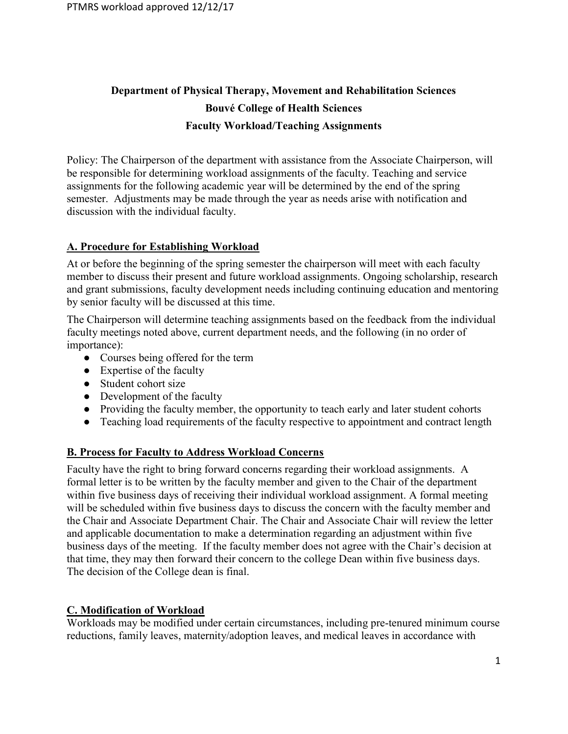# Department of Physical Therapy, Movement and Rehabilitation Sciences Bouvé College of Health Sciences Faculty Workload/Teaching Assignments

Policy: The Chairperson of the department with assistance from the Associate Chairperson, will be responsible for determining workload assignments of the faculty. Teaching and service assignments for the following academic year will be determined by the end of the spring semester. Adjustments may be made through the year as needs arise with notification and discussion with the individual faculty.

# A. Procedure for Establishing Workload

At or before the beginning of the spring semester the chairperson will meet with each faculty member to discuss their present and future workload assignments. Ongoing scholarship, research and grant submissions, faculty development needs including continuing education and mentoring by senior faculty will be discussed at this time.

The Chairperson will determine teaching assignments based on the feedback from the individual faculty meetings noted above, current department needs, and the following (in no order of importance):

- Courses being offered for the term
- Expertise of the faculty
- Student cohort size
- Development of the faculty
- Providing the faculty member, the opportunity to teach early and later student cohorts
- Teaching load requirements of the faculty respective to appointment and contract length

#### B. Process for Faculty to Address Workload Concerns

Faculty have the right to bring forward concerns regarding their workload assignments. A formal letter is to be written by the faculty member and given to the Chair of the department within five business days of receiving their individual workload assignment. A formal meeting will be scheduled within five business days to discuss the concern with the faculty member and the Chair and Associate Department Chair. The Chair and Associate Chair will review the letter and applicable documentation to make a determination regarding an adjustment within five business days of the meeting. If the faculty member does not agree with the Chair's decision at that time, they may then forward their concern to the college Dean within five business days. The decision of the College dean is final.

#### C. Modification of Workload

Workloads may be modified under certain circumstances, including pre-tenured minimum course reductions, family leaves, maternity/adoption leaves, and medical leaves in accordance with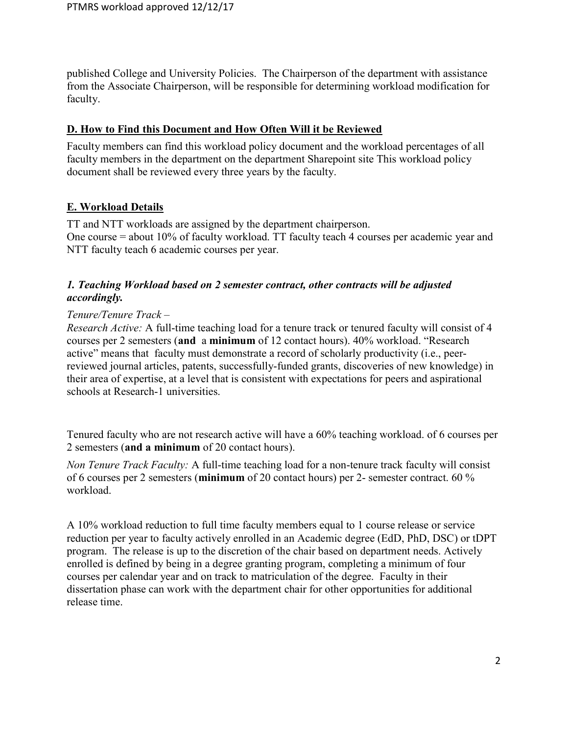published College and University Policies. The Chairperson of the department with assistance from the Associate Chairperson, will be responsible for determining workload modification for faculty.

## D. How to Find this Document and How Often Will it be Reviewed

Faculty members can find this workload policy document and the workload percentages of all faculty members in the department on the department Sharepoint site This workload policy document shall be reviewed every three years by the faculty.

# E. Workload Details

TT and NTT workloads are assigned by the department chairperson. One course = about 10% of faculty workload. TT faculty teach 4 courses per academic year and NTT faculty teach 6 academic courses per year.

# 1. Teaching Workload based on 2 semester contract, other contracts will be adjusted accordingly.

## Tenure/Tenure Track –

Research Active: A full-time teaching load for a tenure track or tenured faculty will consist of 4 courses per 2 semesters (and a minimum of 12 contact hours). 40% workload. "Research active" means that faculty must demonstrate a record of scholarly productivity (i.e., peerreviewed journal articles, patents, successfully-funded grants, discoveries of new knowledge) in their area of expertise, at a level that is consistent with expectations for peers and aspirational schools at Research-1 universities.

Tenured faculty who are not research active will have a 60% teaching workload. of 6 courses per 2 semesters (and a minimum of 20 contact hours).

Non Tenure Track Faculty: A full-time teaching load for a non-tenure track faculty will consist of 6 courses per 2 semesters (minimum of 20 contact hours) per 2- semester contract. 60 % workload.

A 10% workload reduction to full time faculty members equal to 1 course release or service reduction per year to faculty actively enrolled in an Academic degree (EdD, PhD, DSC) or tDPT program. The release is up to the discretion of the chair based on department needs. Actively enrolled is defined by being in a degree granting program, completing a minimum of four courses per calendar year and on track to matriculation of the degree. Faculty in their dissertation phase can work with the department chair for other opportunities for additional release time.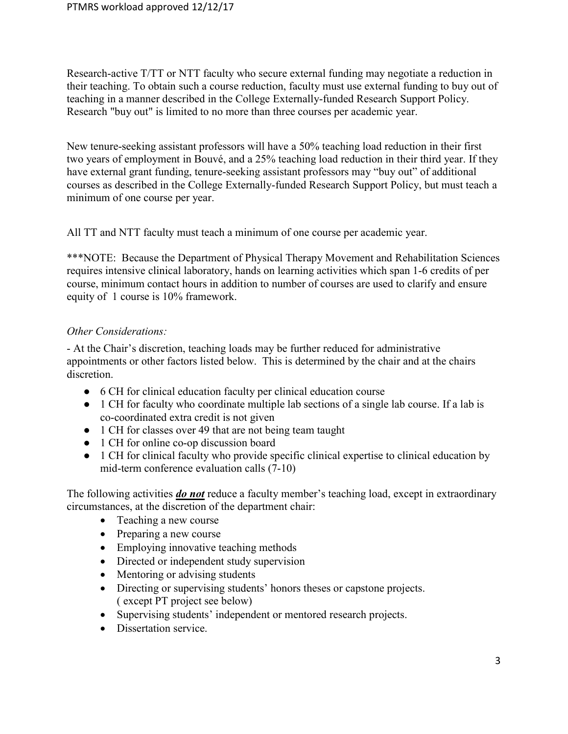Research-active T/TT or NTT faculty who secure external funding may negotiate a reduction in their teaching. To obtain such a course reduction, faculty must use external funding to buy out of teaching in a manner described in the College Externally-funded Research Support Policy. Research "buy out" is limited to no more than three courses per academic year.

New tenure-seeking assistant professors will have a 50% teaching load reduction in their first two years of employment in Bouvé, and a 25% teaching load reduction in their third year. If they have external grant funding, tenure-seeking assistant professors may "buy out" of additional courses as described in the College Externally-funded Research Support Policy, but must teach a minimum of one course per year.

All TT and NTT faculty must teach a minimum of one course per academic year.

\*\*\*NOTE: Because the Department of Physical Therapy Movement and Rehabilitation Sciences requires intensive clinical laboratory, hands on learning activities which span 1-6 credits of per course, minimum contact hours in addition to number of courses are used to clarify and ensure equity of 1 course is 10% framework.

## Other Considerations:

- At the Chair's discretion, teaching loads may be further reduced for administrative appointments or other factors listed below. This is determined by the chair and at the chairs discretion.

- 6 CH for clinical education faculty per clinical education course
- 1 CH for faculty who coordinate multiple lab sections of a single lab course. If a lab is co-coordinated extra credit is not given
- 1 CH for classes over 49 that are not being team taught
- 1 CH for online co-op discussion board
- 1 CH for clinical faculty who provide specific clinical expertise to clinical education by mid-term conference evaluation calls (7-10)

The following activities *do not* reduce a faculty member's teaching load, except in extraordinary circumstances, at the discretion of the department chair:

- Teaching a new course
- Preparing a new course
- Employing innovative teaching methods
- Directed or independent study supervision
- Mentoring or advising students
- Directing or supervising students' honors theses or capstone projects. ( except PT project see below)
- Supervising students' independent or mentored research projects.
- Dissertation service.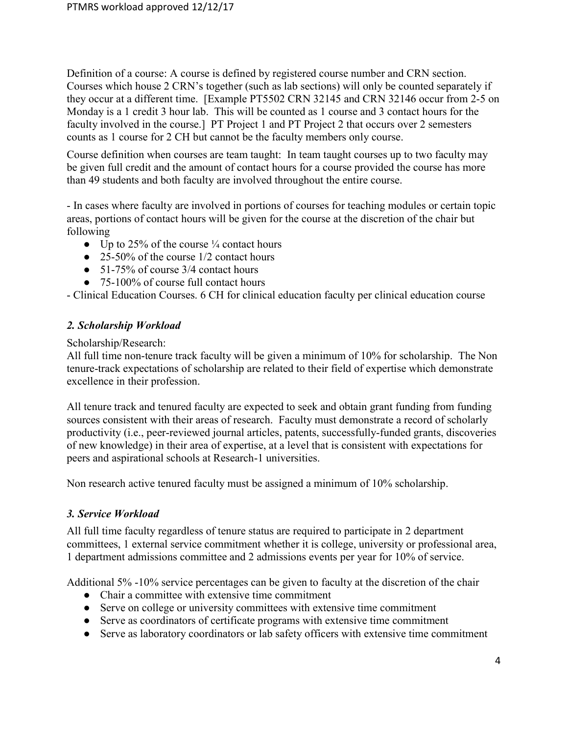Definition of a course: A course is defined by registered course number and CRN section. Courses which house 2 CRN's together (such as lab sections) will only be counted separately if they occur at a different time. [Example PT5502 CRN 32145 and CRN 32146 occur from 2-5 on Monday is a 1 credit 3 hour lab. This will be counted as 1 course and 3 contact hours for the faculty involved in the course.] PT Project 1 and PT Project 2 that occurs over 2 semesters counts as 1 course for 2 CH but cannot be the faculty members only course.

Course definition when courses are team taught: In team taught courses up to two faculty may be given full credit and the amount of contact hours for a course provided the course has more than 49 students and both faculty are involved throughout the entire course.

- In cases where faculty are involved in portions of courses for teaching modules or certain topic areas, portions of contact hours will be given for the course at the discretion of the chair but following

- Up to 25% of the course  $\frac{1}{4}$  contact hours
- $\bullet$  25-50% of the course 1/2 contact hours
- 51-75% of course 3/4 contact hours
- 75-100% of course full contact hours

- Clinical Education Courses. 6 CH for clinical education faculty per clinical education course

## 2. Scholarship Workload

Scholarship/Research:

All full time non-tenure track faculty will be given a minimum of 10% for scholarship. The Non tenure-track expectations of scholarship are related to their field of expertise which demonstrate excellence in their profession.

All tenure track and tenured faculty are expected to seek and obtain grant funding from funding sources consistent with their areas of research. Faculty must demonstrate a record of scholarly productivity (i.e., peer-reviewed journal articles, patents, successfully-funded grants, discoveries of new knowledge) in their area of expertise, at a level that is consistent with expectations for peers and aspirational schools at Research-1 universities.

Non research active tenured faculty must be assigned a minimum of 10% scholarship.

#### 3. Service Workload

All full time faculty regardless of tenure status are required to participate in 2 department committees, 1 external service commitment whether it is college, university or professional area, 1 department admissions committee and 2 admissions events per year for 10% of service.

Additional 5% -10% service percentages can be given to faculty at the discretion of the chair

- Chair a committee with extensive time commitment
- Serve on college or university committees with extensive time commitment
- Serve as coordinators of certificate programs with extensive time commitment
- Serve as laboratory coordinators or lab safety officers with extensive time commitment